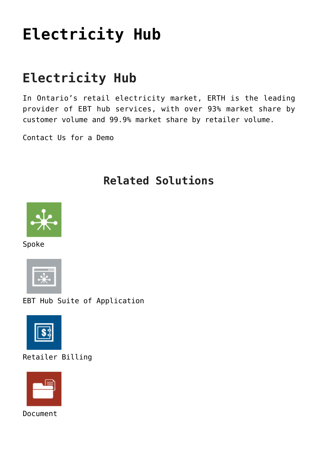# **[Electricity Hub](https://www.erthcorp.com/electricity-hub/)**

## **Electricity Hub**

In Ontario's retail electricity market, ERTH is the leading provider of EBT hub services, with over 93% market share by customer volume and 99.9% market share by retailer volume.

[Contact Us for a Demo](mailto:sales@erthcorp.com?Subject=EBT%20Hub)

#### **Related Solutions**



Spoke



EBT Hub Suite of Application



Retailer Billing



Document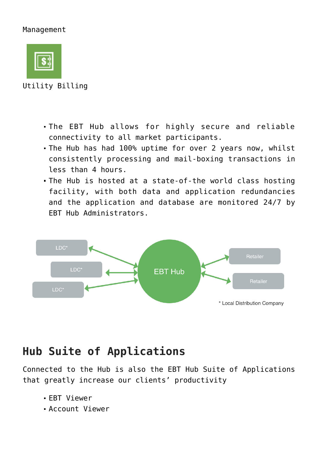#### Management



Utility Billing

- The EBT Hub allows for highly secure and reliable connectivity to all market participants.
- The Hub has had 100% uptime for over 2 years now, whilst consistently processing and mail-boxing transactions in less than 4 hours.
- The Hub is hosted at a state-of-the world class hosting facility, with both data and application redundancies and the application and database are monitored 24/7 by EBT Hub Administrators.



### **Hub Suite of Applications**

Connected to the Hub is also the EBT Hub Suite of Applications that greatly increase our clients' productivity

- EBT Viewer
- Account Viewer